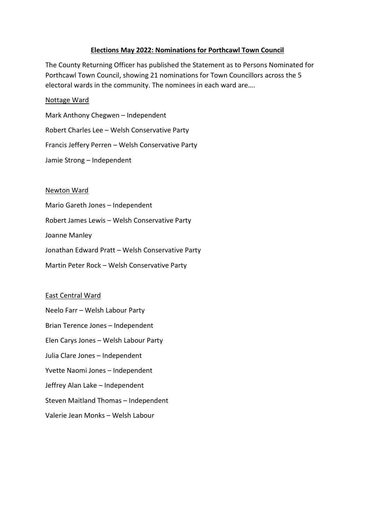# **Elections May 2022: Nominations for Porthcawl Town Council**

The County Returning Officer has published the Statement as to Persons Nominated for Porthcawl Town Council, showing 21 nominations for Town Councillors across the 5 electoral wards in the community. The nominees in each ward are….

## Nottage Ward

Mark Anthony Chegwen – Independent Robert Charles Lee – Welsh Conservative Party Francis Jeffery Perren – Welsh Conservative Party Jamie Strong – Independent

## Newton Ward

Mario Gareth Jones – Independent Robert James Lewis – Welsh Conservative Party Joanne Manley Jonathan Edward Pratt – Welsh Conservative Party Martin Peter Rock – Welsh Conservative Party

## East Central Ward

Neelo Farr – Welsh Labour Party Brian Terence Jones – Independent Elen Carys Jones – Welsh Labour Party Julia Clare Jones – Independent Yvette Naomi Jones – Independent Jeffrey Alan Lake – Independent Steven Maitland Thomas – Independent Valerie Jean Monks – Welsh Labour